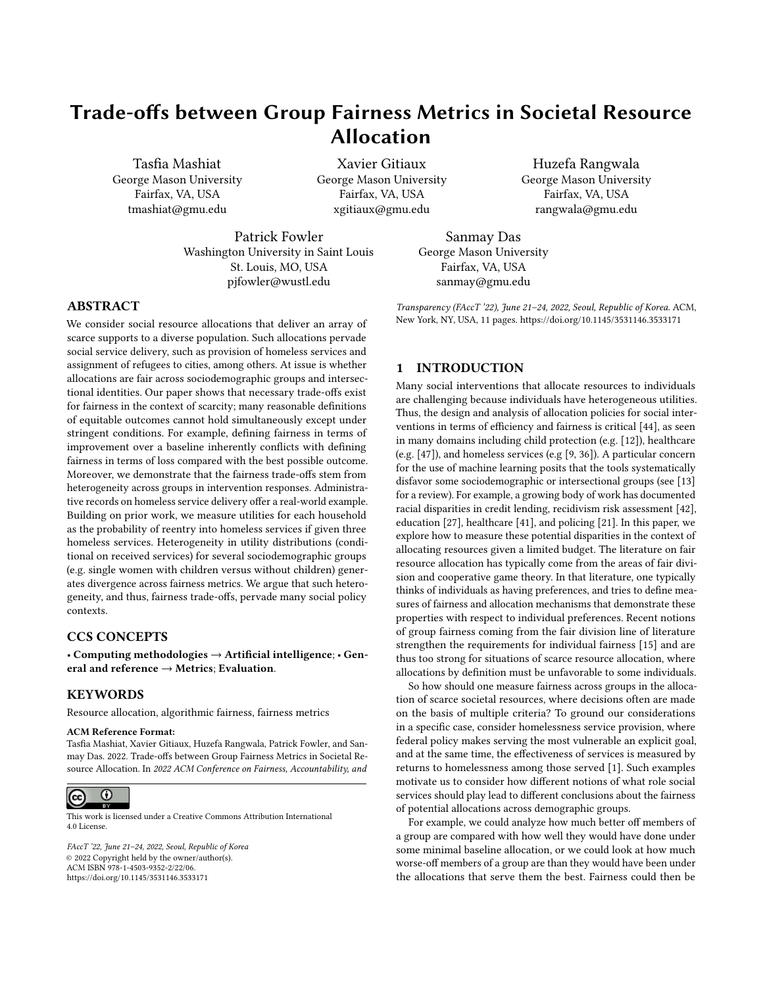# Trade-offs between Group Fairness Metrics in Societal Resource Allocation

Tasfia Mashiat George Mason University Fairfax, VA, USA tmashiat@gmu.edu

Xavier Gitiaux George Mason University Fairfax, VA, USA xgitiaux@gmu.edu

Patrick Fowler Washington University in Saint Louis St. Louis, MO, USA pjfowler@wustl.edu

Sanmay Das George Mason University Fairfax, VA, USA sanmay@gmu.edu

Transparency (FAccT '22), June 21–24, 2022, Seoul, Republic of Korea. ACM, New York, NY, USA, [11](#page-10-0) pages.<https://doi.org/10.1145/3531146.3533171>

# ABSTRACT

We consider social resource allocations that deliver an array of scarce supports to a diverse population. Such allocations pervade social service delivery, such as provision of homeless services and assignment of refugees to cities, among others. At issue is whether allocations are fair across sociodemographic groups and intersectional identities. Our paper shows that necessary trade-offs exist for fairness in the context of scarcity; many reasonable definitions of equitable outcomes cannot hold simultaneously except under stringent conditions. For example, defining fairness in terms of improvement over a baseline inherently conflicts with defining fairness in terms of loss compared with the best possible outcome. Moreover, we demonstrate that the fairness trade-offs stem from heterogeneity across groups in intervention responses. Administrative records on homeless service delivery offer a real-world example. Building on prior work, we measure utilities for each household as the probability of reentry into homeless services if given three homeless services. Heterogeneity in utility distributions (conditional on received services) for several sociodemographic groups (e.g. single women with children versus without children) generates divergence across fairness metrics. We argue that such heterogeneity, and thus, fairness trade-offs, pervade many social policy contexts.

## CCS CONCEPTS

• Computing methodologies → Artificial intelligence; • General and reference → Metrics; Evaluation.

### **KEYWORDS**

Resource allocation, algorithmic fairness, fairness metrics

#### ACM Reference Format:

Tasfia Mashiat, Xavier Gitiaux, Huzefa Rangwala, Patrick Fowler, and Sanmay Das. 2022. Trade-offs between Group Fairness Metrics in Societal Resource Allocation. In 2022 ACM Conference on Fairness, Accountability, and



This work is licensed under a [Creative Commons Attribution International](https://creativecommons.org/licenses/by/4.0/) [4.0 License.](https://creativecommons.org/licenses/by/4.0/)

FAccT '22, June 21–24, 2022, Seoul, Republic of Korea © 2022 Copyright held by the owner/author(s). ACM ISBN 978-1-4503-9352-2/22/06. <https://doi.org/10.1145/3531146.3533171>

#### 1 INTRODUCTION

Many social interventions that allocate resources to individuals are challenging because individuals have heterogeneous utilities. Thus, the design and analysis of allocation policies for social interventions in terms of efficiency and fairness is critical [\[44\]](#page-10-1), as seen in many domains including child protection (e.g. [\[12\]](#page-10-2)), healthcare (e.g. [\[47\]](#page-10-3)), and homeless services (e.g [\[9,](#page-10-4) [36\]](#page-10-5)). A particular concern for the use of machine learning posits that the tools systematically disfavor some sociodemographic or intersectional groups (see [\[13\]](#page-10-6) for a review). For example, a growing body of work has documented racial disparities in credit lending, recidivism risk assessment [\[42\]](#page-10-7), education [\[27\]](#page-10-8), healthcare [\[41\]](#page-10-9), and policing [\[21\]](#page-10-10). In this paper, we explore how to measure these potential disparities in the context of allocating resources given a limited budget. The literature on fair resource allocation has typically come from the areas of fair division and cooperative game theory. In that literature, one typically thinks of individuals as having preferences, and tries to define measures of fairness and allocation mechanisms that demonstrate these properties with respect to individual preferences. Recent notions of group fairness coming from the fair division line of literature strengthen the requirements for individual fairness [\[15\]](#page-10-11) and are thus too strong for situations of scarce resource allocation, where allocations by definition must be unfavorable to some individuals.

So how should one measure fairness across groups in the allocation of scarce societal resources, where decisions often are made on the basis of multiple criteria? To ground our considerations in a specific case, consider homelessness service provision, where federal policy makes serving the most vulnerable an explicit goal, and at the same time, the effectiveness of services is measured by returns to homelessness among those served [\[1\]](#page-10-12). Such examples motivate us to consider how different notions of what role social services should play lead to different conclusions about the fairness of potential allocations across demographic groups.

For example, we could analyze how much better off members of a group are compared with how well they would have done under some minimal baseline allocation, or we could look at how much worse-off members of a group are than they would have been under the allocations that serve them the best. Fairness could then be

Huzefa Rangwala George Mason University Fairfax, VA, USA rangwala@gmu.edu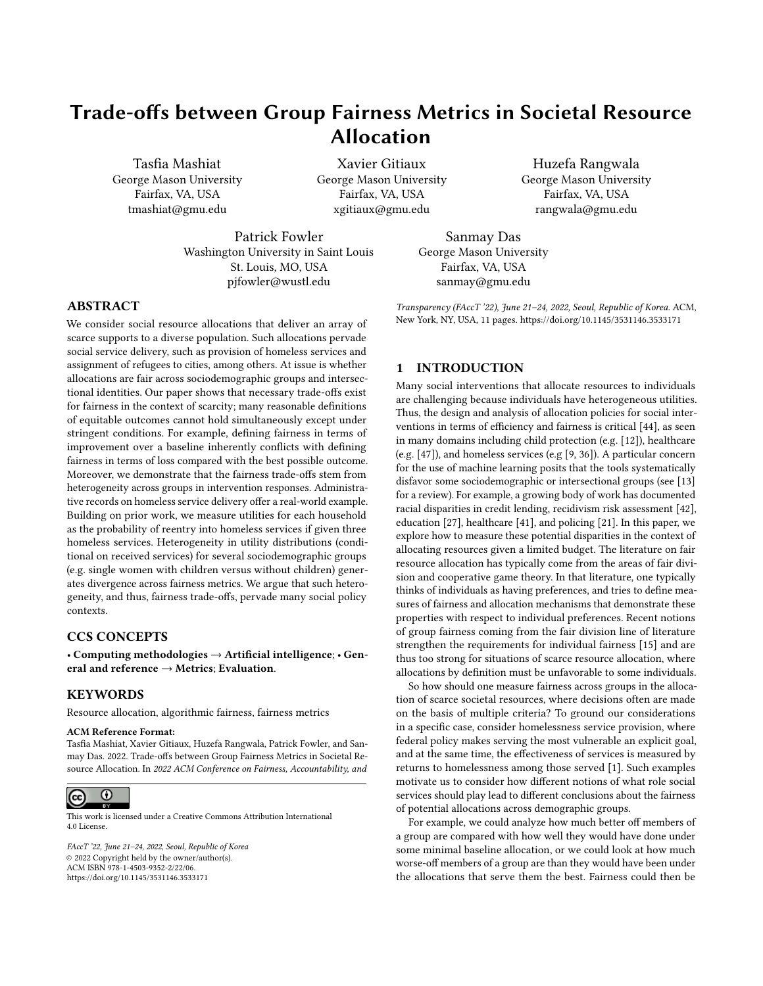FAccT '22, June 21-24, 2022, Seoul, Republic of Korea Tasfia Mashiat, Xavier Gitiaux, Huzefa Rangwala, Patrick Fowler, and Sanmay Das

defined as equitable performance of groups according to these measures, and indeed, the existing literature on fair allocation of both divisible and indivisible resources has looked at measures along both of directions, of improvement (or gain) and regret (or shortfall). Although both are reasonable definitions of a fair allocation, we consider two important factors that arise in many real-world problems. First, instead of the problem simply focusing on a set of identical resources that need to be allocated amongst agents, there is often a whole set of different interventions, each with capacity constraints (for example, different types of homelessness resources or different cities that refugees can be matched to). Second, individuals may respond heterogeneously to the different interventions (for example, homeless individuals with disabilities may benefit disproportionately from intensive housing supports, or refugees may assimilate and find jobs more easily in places where there is already a substantial population from their place of origin).

We show that when there is a multiplicity of possible services, and groups are heterogeneous in the distributions of utilities they receive from different services, it becomes impossible to satisfy simultaneously improvement and regret oriented definitions of group fairness. Even more dramatically, an allocation policy that appears to favor one group according to improvement fairness can favor another group according to regret fairness. The results yield insights on inherent trade-offs that policymakers face when attempting to achieve a fairness objective. How we measure improvement or regret also matters when assessing the fairness of an allocation policy. For example, we could measure improvement by the ratio of realized utility over baseline utility (a multiplicative measure); or by the difference between realized utility and baseline utility (an additive measure). Depending on the application, it is not always clear which of these additive or multiplicative normalizations makes more sense. We establish, in a stylized framework, that fairness in terms of additive normalization and fairness in terms of multiplicative normalization cannot hold simultaneously except when the distribution of individual responses to different allocations is similar across demographic groups.

These trade-offs are not theoretical corner-cases and have substantive implications for social policy. We use administrative data from a regional homeless system to explore the fairness of a capacitated assignment of community-based services that address housing needs. Services include transitional housing, rapid rehousing, and emergency shelter; three programs that vary in intensity and availability. We measure the utility of a service to a household as the probability estimated in prior work by [\[36\]](#page-10-5) that the household would make a successful exit from homelessness given the delivery of that service. We first document significant differences in utility distributions across different groups (e.g., disabled versus not disabled households, families with children versus households without children, single females with versus without children). We then confirm our theoretical results that the differences in utility distributions across groups generate trade-offs when assessing the fairness of an allocation. For example, we consider the original allocation as recorded in the administrative data and we find that improvement and regret disagree on whether the policy favors households with or without children, as well as other groups.

In addition to contributing to our understanding of how the definition and measurement of fairness is affected by heterogeneity in how members of different groups may respond to interventions, these findings can inform practice in homeless and social services that allocate scarce resources across diverse populations. Policies frequently attempt to maximize public welfare by targeting available supports towards heterogeneous groups based on competing notions of fairness (e.g., vulnerability, efficiency, equality). Understanding the fairness trade-offs and measurement sensitivity allows for more intentional policy-making and better evaluation.

### 2 RELATED WORK

#### 2.1 Group Fairness

Prior research has led to many definitions of fairness to compare algorithmic outcomes across demographic groups. Popular definitions include statistical parity [\[19\]](#page-10-13), equalized odds and opportunity [\[28\]](#page-10-14). However, these definitions only apply to binary settings and implicitly assume that the utility of an individual is equal to one when the algorithm's outcome is one and equal to zero otherwise. Few papers consider more general definitions of utilities [\[29\]](#page-10-15). In this paper, we argue as in [\[32\]](#page-10-16) that in many societal applications of machine learning, utilities are heterogeneous across individuals and that this heterogeneity could be systematic across demographic groups.

The fair division literature offers a framework to compare utilities across individuals. Envy-freeness, proportionality or equitability [\[10\]](#page-10-17) are common utility-based definitions of a fair allocation of goods. The literature strengthens these notions of fairness to control for envy-freeness to arbitrary segments of the population [\[6,](#page-10-18) [15\]](#page-10-11). In this paper, we focus on notions of group equitability that vary by their normalization, but leaves it for future research to explore the role of normalization on group envy-freeness.

A standard assumption in the fair division literature is that utilities, although heterogeneous, are unit-normalized [\[5\]](#page-10-19). The rationale for unit-normalization is that it allows one to make more reasonable interpersonal comparisons of utility by converting all utilities to a common scale. Unit-normalization implies that the maximum utility gain is equal to one for all individuals [\[5\]](#page-10-19). Our notions of shortfall or regret rely on a similar assumption, which is reasonable in many settings (e.g. voting [\[8\]](#page-10-20)). However, we argue that other reasonable choices of normalization are possible and more relevant in different types of allocation problems. For example, in the case of homeless services delivery, a policymaker would want to account for the fact that families with children have on average more to gain from rapid rehousing programs [\[43\]](#page-10-21). In this case, our measures of improvement and gain, which normalize by comparison with the worst utility that an individual can expect from an allocation, are also reasonable notions of fairness. This paper relates closely to the work of [\[32\]](#page-10-16), who introduce utility-based notions of group fairness for classification problems. However, they assume away the need to normalize utilities to a similar scale / support. One of our contributions is to show that different normalization approaches can lead to conflicting assessments of the fairness of an allocation policy.

#### 2.2 Impossibility Results

The binary outcome setting admits some fundamental impossibility results [\[11,](#page-10-22) [35\]](#page-10-23). Except under very restrictive conditions, it is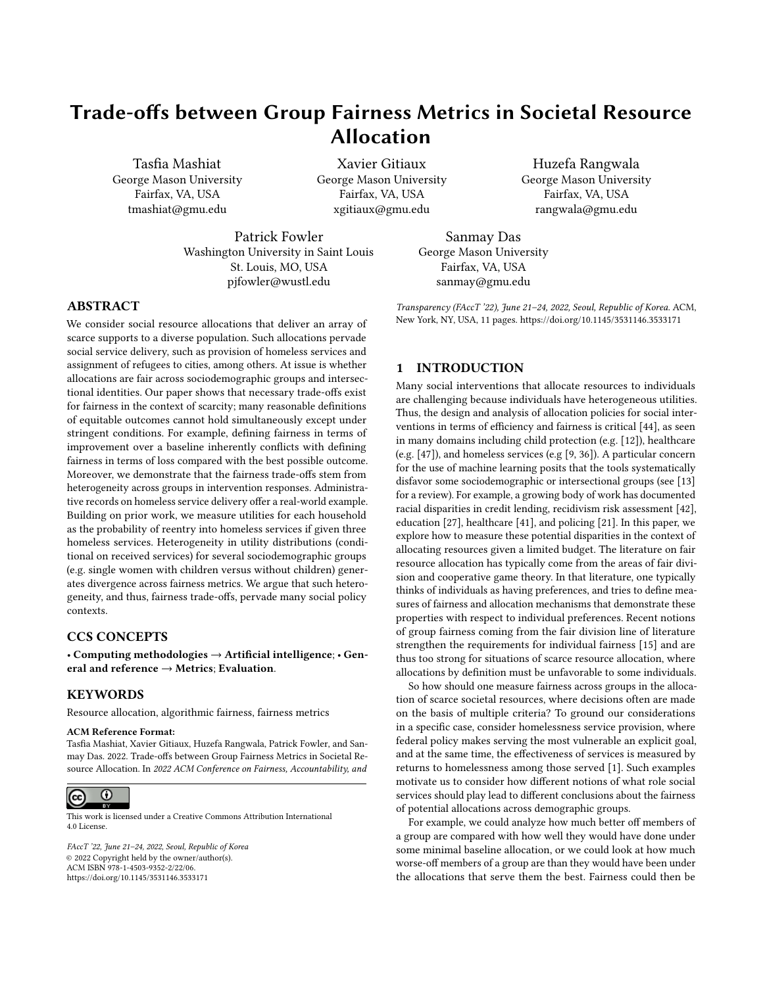impossible for a classi er to simultaneously equalize false positive rates and false negative rates across groups and also guarantee thatresults hold for intersectional groups. We denote by the number predictions are calibrated within each group. Kleinberg et [\[35](#page-10-23)]

show that the impossibility emerges whenever demographic groups dier systematically in the distribution of features used by the classier as inputs. In this paper, we demonstrate new impossibility result[s in](#page-10-23) the case of utility-based notions of fairness. As  $\frac{1}{2}$ , we obtain a paradox where fairness guarantees that seem to share the programs might vary among individual $\mathbf{s}^{\min}$  could potentially same objective that the allocation of resources will be as e ective for all demographic groups are nonetheless incompatible.

Our results on the incompatibility of di erent fairness principles is also re[m](#page-10-24)iniscent of Arrow's impossibility theorem 8. In the presence of heterogeneous preferences, there is no way to aggregate individual preferences into a social welfare function that would satisfy unanimity, non-dictatorship and informational parsimony. The theory of fair allocation  $25, 46$  that selects a subset of policies on basis of their fairness and e ciency obtains possibility results by relaxing informational parsimony  $24$ . However, in this paper, we show that we cannot avoid negative results when notions of fairness based on di erent normalizations have to hold simultaneously.

# 2.3 Algorithmic Allocation of Societal Resources

There has been recent interest in the speci c setting where scarce resources that are collective or societal are algorithmically allocated by a centralized institution to individual members of society (see [17] for a recent review). The design of algorithmic approaches has typically focused on increasing the e ciency of social interventions, including kidney exchange [7, 45], housing assistance [6, 38], HIV awareness campaigns $T$  and refugee resettlement  $\beta$ . In this paper, we investigate how to assess the fairness of resulting allocations. Empirically, we nd evidence of our impossibility results in the context of capacitated one-sided matching, which involve a set of services with xed capacities, a set of agents with heterogeneous preference orderings (see e. 38] for an application to the house allocation problem) and a social worker that assigns a service to each agent.

# 3 INHERENT FAIRNESS TRADE-OFFS IN RESOURCE ALLOCATION

In this section we describe our theoretical framework, rst de ning the problems we are concerned with, and then outlining both general and illustrative results on inherent group fairness trade-o s in the allocation of scarce resources.

# 3.1 Setting

We consideK services, with maximum capaciti**e**s for k 2 f 1; :::;Kg, andN individualsi =  $1$ ; :::;N.<sup>1</sup> We can thus describe individuals by their utility vector  $u = {}^{1}u_{1}; \dots; u_{K}$ <sup>o</sup> over each programk and their sensitive attributes 2 S. S describes the set of groups for which we want to study the fairness of service allocation. For ease of exposition, we assume that group characteristics are binary and  $S = f0$ ; 1g; however, our results readily extend to more complex

de nitions of groups, and the empirical section will show that our of individuals with sensitive attributes =  $0$ ; 1.

For each individualu, we denote by min the utility derived from receiving the least bene cial program $\mathbf{u}^{\min} = \min \mathbf{u}_k$  jk = 1; ::;Kg. We denote by max the utility derived from receiving the most bene cial program $\texttt{u}^{\textsf{max}}$  = maxfu<sub>k</sub> jk = 1; ::;Kg. Best and worst characterize a do nothing option, i.e. the individuals' utility without the intervention. We assume that is drawn from a joint distribution G<sub>s</sub>1uº over R<sup>K</sup> that depends on the valu**s**of the sensitive attribute. We denote the random utility vectdu.

An allocation policya :  $R^{K}$  ! f  $\;$  0; 1g<sup>K</sup> assigns each individual with utility u to a programk if and only if  $a_k$ <sup>1</sup>u° $\in$  1. We assume that individuals are assigned to only one program $K = 1$ , we assume the individuals are assigned to only one program $K = 1$ , We denote bya:u the inner product between the policy assignment and the individual utility:  $au = \frac{K}{k-1} a_k^1 u^0 u_k$ . GivenN individualsi with utility u<sub>i</sub>, the allocation is feasible if and only if for all programs with durity  $u_i$ , the anocation is reasible if and only frior an program<br>k,  $\sum_{i=1}^{N} a_k u_i^{\dagger}$   $\alpha_k$  (the maximum capacity for the th service).

### 3.2 Fairness, Baselines, and Normalization

In this section, we consider four notions of fairness to compare the average realized utility between groups: improvement, regret, shortfall, and gain. The de nitions di er along two dimensions (1) how they normalize individual utility (additive or multiplicative), and (2) which baselines they compare individual realized utility to (worst case or best case).

The improvement and gain metrics use as a baseline the minimal or worst utility that an individual can expect from any service they receive. To be fair, the de nitions say that the average increase in utility relative to the least bene cial intervention should be equal across groups. They di er in how they normalize realized utility relative to the baseline; improvement uses an additive normalization, while gain uses a multiplicative normalization.

Definition 1. Improvement fairness. An allocation policya satis es fair improvement if and only if<br>  $\ddot{a}$ 

$$
E \frac{1}{N_0} \sum_{i; s=0}^{\tilde{O}} a_i u_i u_i^{min_0} = E \frac{1}{N_1} \sum_{i; s=1}^{\tilde{O}} a_i u_i u_i^{min_0} ; \quad (1)
$$

where the expectation is taken over samples disiter the group with sensitive attribute =  $0$ : 1.

Definition 2. Gain fairness. An allocation policya satis es fair gain if and only if "  $^{\prime}$ 

$$
E \frac{1}{N_0} \sum_{i;s=0}^{r} a \frac{u_i}{u_i^{min}} = E \frac{1}{N_1} \sum_{i;s=1}^{r} a \frac{u_i}{u_i^{min}} = (2)
$$

We denote by  $1^1a^0$  the dierence in improvement between groups:

$$
11a^{0} = E \frac{1}{N_{1}} \frac{\ddot{O}}{i_{1} s_{1}} \text{ a:}^{1} u_{i} \quad u_{i}^{min_{0}} \quad E \frac{1}{N_{0}} \frac{\ddot{O}}{i_{1} s_{1}} \text{ a:}^{1} u_{i} \quad u_{i}^{min_{0}} \tag{3}
$$

If  $1^2a^0$  is positive, the policya favors group1; if  $1^2a^0$  is negative, the policy favors group. We de ne similarly di erences in gain as  $G<sup>1</sup>a<sup>0</sup>$ .

<sup>&</sup>lt;sup>1</sup>We follow the convention of denoting vectors in bold type and random variables with capital letters.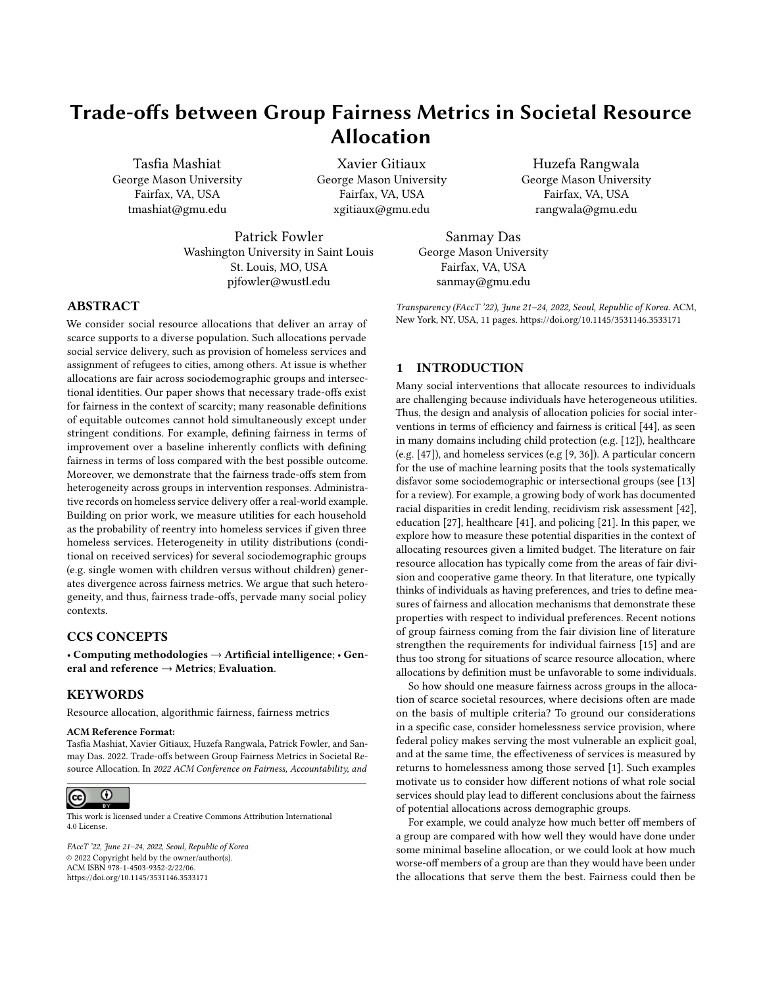Regret fairness and shortfall benchmark the realized utility in comparison to the best outcome individuals can hope for from any service (as such they are related to the classical denition of equitability in fair division, albeit with dierences in normalization).

Both fairness notions are satis ed when the average loss of utility compared to receiving the most benecial program is equalized across groups.

Definition 3. Regret fairness. An allocation policy satis es regret fairness if and only if " #  $\mu$ 

$$
E \frac{1}{N_0} \sum_{i; s=0}^{\tilde{O}} a^1 u_i^{max} \quad u_i^{\circ} = E \frac{1}{N_1} \sum_{i; s=1}^{\tilde{O}} a^1 u_i^{max} \quad u_i^{\circ} : \quad (4)
$$

Definition 4. Shortfall. An allocation policy satis es shortfall if and only if "  $\overline{u}$ 

$$
E \frac{1}{N_0} \frac{\tilde{O}}{I_{1; s=0}} a \cdot \frac{u_i}{u_i^{\text{max}}} + E \frac{1}{N_1} \frac{\tilde{O}}{I_{1; s=1}} a \cdot \frac{u_i}{u_i^{\text{max}}} + \tag{5}
$$

Like dierences in improvement or in gain, we denote dierences in shortfall and regret as  $S^1a^0$  and  $R^1a^0$ , respectively. Note that

 $R^1a^0$  0 means that the policy a favors groupS = 0 over group S = 1 for regret fairness. All four de nitions represent reasonable and desirable properties of a fair allocation. However, the following results show that a decision-maker faces trade-o s when choosing which fairness notion to target. Not only might the notions not be satis ed simultaneously, it is possible to generate explicitly contradictory conclusions across the relatively similar fairness metrics regarding which group is under-served.

#### 3.3 Improvement versus Regret

Our rst result shows that improvement and regret fairness cannot be satis ed simultaneously, unless we impose strong restrictions on how groups di er. Consider two random variables<sup>max</sup> and U<sup>min</sup> de ned on individual most and least bene cial utility. The maximum individual utility gain that can be delivered by a service is then a random variable  $U = U^{max}$  U<sup>min</sup>.

Theorem 1. If an allocation policy satis es both improvement and regret fairness then the average maximum utility gainmust be equal across groups:  $U/S = 0\frac{1}{4}$  E»  $U/S = 1\frac{1}{4}$  Moreover,  $I^1a^0 + R^1a^0 = E^* U$  U  $S = 1/4$  E  $^*$  U  $S = 0/4$ .

Proof. The proof is based on the following identities:<br>  $\frac{2}{\pi}$ 

$$
11a^{0} = E \frac{1}{N_{1}} \frac{\dot{O}}{1_{1;S=1}} a_{1}u^{0.1}u_{i} \quad u_{i}^{max} + u_{i}^{0}
$$
  
\n
$$
E \frac{1}{N_{0}} \frac{\dot{O}}{1_{1;S=0}} a_{1}u^{0.1}u_{i} \quad u_{i}^{max} + u_{i}^{0}
$$
  
\n
$$
= E \frac{1}{N_{1}} \frac{\ddot{O}}{1_{1;S=1}} \frac{\ddot{O}}{1_{1;S=1}} \frac{\ddot{O}}{1_{1;S=1}} \frac{\ddot{O}}{1_{1}} \frac{\ddot{O}}{1_{1;S=0}} \frac{\ddot{O}}{1_{1}} \frac{\ddot{O}}{1_{1;S=0}} \frac{\ddot{O}}{1_{1}} \frac{\ddot{O}}{1_{1;S=0}} \frac{\ddot{O}}{1_{1}} \frac{\ddot{O}}{1_{1;S=0}} \frac{\ddot{O}}{1_{1}} \frac{\ddot{O}}{1_{1;S=0}} \frac{\ddot{O}}{1_{1}} \frac{\ddot{O}}{1_{1;S=0}} \frac{\ddot{O}}{1_{1}} \frac{\ddot{O}}{1_{1;S=0}} \frac{\ddot{O}}{1_{1}} \frac{\ddot{O}}{1_{1;S=0}} \frac{\ddot{O}}{1_{1}} \frac{\ddot{O}}{1_{1;S=0}} \frac{\ddot{O}}{1_{1}} \frac{\dot{O}}{1_{1;S=0}} \frac{\ddot{O}}{1_{1}} \frac{\dot{O}}{1_{1}} \frac{\dot{O}}{1_{1}} \frac{\dot{O}}{1_{1}} \frac{\dot{O}}{1_{1}} \frac{\dot{O}}{1_{1}} \frac{\dot{O}}{1_{1}} \frac{\dot{O}}{1_{1}} \frac{\dot{O}}{1_{1}} \frac{\dot{O}}{1_{1}} \frac{\dot{O}}{1_{1}} \frac{\dot{O}}{1_{1}} \frac{\dot{O}}{1_{1}} \frac{\dot{O}}{1_{1}} \frac{\dot{O}}{1_{1}} \frac{\dot{O}}{1_{1}} \frac{\dot{O}}{1_{1}} \frac{\dot{O}}{1_{1}} \frac{\dot{O}}{1_{1}} \frac{\dot{O}}{1_{1}} \frac{\dot{O}}{1_{1}} \frac
$$

where the last equality comes from the fact that  $k=1$  a<sub>k</sub>  $1u^{\circ} = 1$  for all u. Therefore, if  $1^1a^0 = 0$  and  $R^1a^0 = 0$ , then  $E^*$  U<sub>j</sub>S =  $0 \nleq$ E»  $U$ j $S = 1\frac{1}{4}$ 

The result in Theorem 1 implies that regardless of the allocation policy, for both improvement and regret fairness to hold it is necessary that groups would gain on average similarly if they were always allocated their most bene cial intervention. Thus, a tradeo exists when de ning what a fair assignment should look like: for example, a policy satisfying improvement fairness would always violate regret fairness unless»  $U/S = 0$ ¼= E»  $U/S = 1$ ¼ Since

 $1^1a^0$  + R<sup>1</sup>a<sup>0</sup> = E» UjS = 1¼ E» UjS = 0¼ the closer a policy is to satisfying improvement fairness, the worse its regret fairness, and vice-versa. A follow up question is whether improvement and regret fairness tell a di erent story about the fairness of an allocation policy a. The next result shows that whenever  $U$   $S = 0$ <sup>'</sup>/<sub>4</sub> and  $E^*$  UjS = 1¼di er, unless all policies favor one group, there exists a policy that favors one group for improvement fairness and favors the other one for regret fairness.

Theorem 2. Suppose that  $W \cup S = 1/\triangleright E W \cup S = 0/\sqrt{S}$  Suppose that there exists a policy that favors group  $\theta$  for improvement fairness and another policy that favors group 1 for improvement fairness. Then, there exists a policy such that  $1^1a^0$  > 0 and  $R/a$ <sup>o</sup> > 0. That is, there exists a policy that favors 1 with respect to improvement fairness (larger is better), but favors S = 0 with respect to regret fairness (lower is better).

The proof of Theorem 2 relies on the fact that the set of dierences in improvement/regret is a continuous interval:

Lemma 1.Suppose that there exist two allocation policiesd  $a^0$  with di erences in improvement and  $\degree$  > . Then, for any

2 »;  $\sqrt[0]{t}$  there exists an allocation policy with di erence in improvement equal to . A similar result holds for di erence in regret.

Proof. We show the result for di erences in improvement. The proof can be readily extended to di erences in regret. We choose

 $=$   $\frac{0}{0}$  2 x0; 1¼ We de ne an allocation policya as follows:

Partition randomly the individuals into two population<sup>G</sup> and  $G_1$  of size N and <sup>1</sup>1 °N, respectively. For each programk, assign  $c_k$  of them to the population G; and <sup>11</sup>  $c_k$  of them to the population G<sub>1</sub>.  $\log_{6}$  of them to the populationG<sub>1</sub> Apply the allocation policya to the population G and a to the population $G_1$ 

By construction the policya satis es the resource constraints. Moreover,

 $1^1a^0 = 1^1a^0P^1G^0 + 1^1a^{001}1 P^1G_1^0 = + {^{0}1}1^{0} = ; (7)$ 

where the last equality comes from our choice for the value of

Proof. Theorem 2. We choose=  $\frac{E^* U 1 S = 1/4 E^* U 1 S = 0/4}{2}$  > 0 by assumption. Using the assumption of Theorem 2, there exist a and a<sup>°</sup> such that  $1^1a^0$  < 0 and  $1^1a^{0}$  > 0. We apply Lemma 1 with =  $1^1a^0$  < 0,  $\overline{0}$  =  $1^1a^{0}$  > 0 and = minf;  $\overline{0}$  + 2g. there exists a policya such that  $1^1a^0 = \rightarrow 0$ . Moreover,  $R$ <sup>1</sup>a <sup>o</sup> = E» UjS = 1¼ E» UjS = 0¼ l<sup>1</sup>a <sup>o</sup> > 0.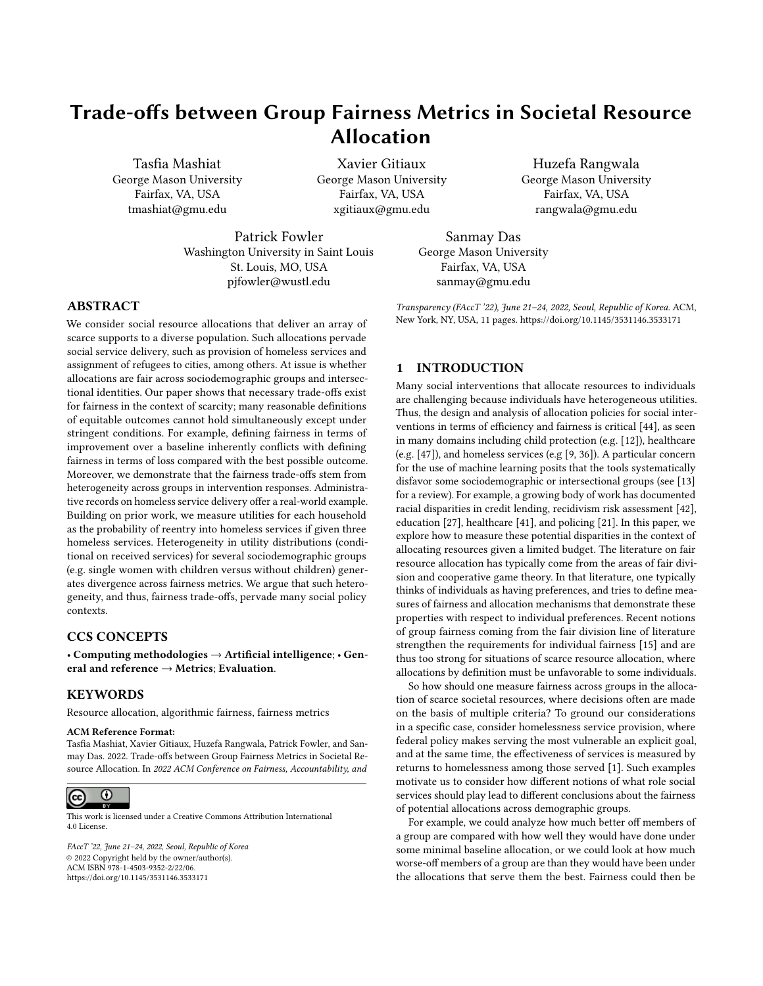Thus, regret fairness and improvement fairness cannot hold si- Therefore, gain and shortfall fairness are equivalent to a<sup>01</sup> multaneously unless populations are homogeneous in terms of their best response to the allocation (Theorem 1). Moreover, assessing $^ \bar{r}$  =  $^-$ r, which is not possible since,  $\bar{r}$ . which group is favored by a given policy can lead to contradictory results depending on whether we measure the fairness properties fairness implies that  $=$  (equation(8)) and that the di erence of the policy in terms of dierences in improvement or regret. The result in Theorem 2 illustrates that decision-makers cannot expect that improvement and regret notions tell a similar story about whether an allocation policy under-serves a given group. Results Theorem 1 and Theorem 2 are general, since they hold for any set of capacities  $x_1, \ldots, x_k$  and for distributions of utilities provided that E» U  $IS = 1/\triangleright$  E» U  $IS = 0/\nu$  Both illustrate the central role of the dierence betweerE» U  $|S = 0 \times 1 \times 1 \times 1|$  driving wedges between improvement and regret fairness. Additionally, Theorem 2 is not very restrictive in its assumptions, since it only requires that no group is under-served regardless of the policy.

### 3.4 Shortfall versus Gain

In this section, we show that the fairness trade-o s between improvement and regret exist also with multiplicative notion of fairness, gain and shortfall. Unlike trade-o s between improvement and regret where our results are general, in the case of shortfall versus gain, we derive results in a stylized framework and leave it to future work to extend our results to more general settings. Nevertheless, this section captures the essence of the problem in the multiplicative setting. We denote for each individual by= u<sup>min</sup>∙u<sup>max</sup> the ratio between the lowest and highest utility obtained from the intervention. This serves as a multiplicative counterpart of. We consider the following framework (SF1):

There are two types of individuals: type with high valuer for the ratior; type B with a low valuer  $\lt$   $\bar{r}$  for r. Conditional onr, the distribution of utility is similar across programs and types.

In this stylized framework, assigning to an individual their most bene cial program delivers either a large increaseveru<sup>min</sup> (type A) or a lower oner (type B). We characterize the heterogeneity across groups by di erences in the distribution of type A and B within each group. We denote by<sub>0</sub> the proportion of type B individuals for groupS = 0; and,  $_1$  the proportion of typeB for group  $S = 1$ .

Theorem 3. In the stylized framework (SF1):

A policy satises both shortfall and gain fairness if and only if  $0 = 1$ .

If  $_0$ ,  $_1$ , a policya that achieves gain (shortfall) fairness, favors, according to shortfall (gain) fairness whichever group has the lowest proportion of typendividuals.

Proof. In this proof, let \_denoteE  $\frac{h_{a^1u^0:u}}{u^{min}}$ jr = r i Proof. In this proof, let denote  $\frac{d^{(n-1)}}{u^{min}}$  jr = r and denote  $E\left[\frac{a^i u^o u}{u^{min}}\right]$  if  $E = \overline{r}$ . Then, we write (for any policy) dierences in gain,

G<sup>1</sup>a<sup>o</sup> =  $1 - +11$   $10^{-}$  0 + 11  $0^{-}$  = 1 0  $10^{-}$  0 (8)

and dierences in shortfall as

$$
S^1a^0 = 1r + 11 \t 1^0T \t 0r + 11 \t 0^0T \t (9)
$$
  
=  $1 \t 0 \t 1^{01}T \t r^0$ :

 $^{\circ}$  = 0 and<sup>1</sup> 0  $^{\circ}$  1<sup>01</sup> T  $^{\circ}$  r<sup>o</sup> = 0. Hence, if 0, 1,<sup>-</sup> = and

To show the second part of Theorem 3, we use the fact that gain in shortfall between groupS = 1 and  $S = 0$  can be then written  $S^1a^0 = 1$  0  $1^{01}F$  r<sup>o-</sup>, which have the same sign as 1 since  $\bar{r} > r$ . Therefore, if  $_0 > 1$ , the policy favors groupS = 1 with respect to shortfall fairness; otherwise, it favors gro $S = 0$ .

Theorem 3 states that shortfall and gain can be satis ed simultaneously if and only if populations have similar fractions of type A individuals. It is similar in spirit to the results above, showing that unless populations meet stringent requirements of similarity in utility distributions between groups (in this case instantiated by the fractions of the two types in each population), the versions of fairness characterized by comparing with the min versus the max cannot be simultaneously satis ed.

# 3.5 Multiplicative versus Additive Normalization

Improvement and gain fairness aim at capturing a similar fairness concept: groups receive on average the same increase in utility relative to assigning the least bene cial service. Both fairness metrics dier only by whether the normalization relative to the lowest utility that an individual can derive from the overall intervention is additive or multiplicative. In this section, we show that even the choice of normalization generates inherent fairness trade-os. We consider the following stylized framework (SF2):

There are two types of individuals: typ<sup>e</sup> for which u<sup>min</sup> takes a low valu**e**u; and typeD for which u<sup>min</sup> takes a larger  $value\overline{u} > u.$ 

Conditional onu<sup>min</sup>, the distribution of utility is similar across programs and types.

Although stylized, both assumptions allow us to characterize the heterogeneity across groups by di erences in their distribution over u<sup>min</sup>. Let p<sub>s</sub> denote the fraction of typeC for group  $S = s$ . Di erences inps across groups imply di erences in the distribution of utility P'UjS' within each group, even if the conditional distribution P<sup>1</sup>U jU<sup>mino</sup> is similar across types.

Theorem 4. In the stylized framework (SF2) with typeandD, a policya satis es both improvement fairness and gain fairness for  $groups = 0$  and  $S = 1$  if and only if one of the following conditions holds:

$$
p_0=p_1;
$$

the policya assigns the least bene cial program to everyone  $(i.e. a.u = u^{min}).$ 

Proof. Let denoteE>a:ujU<sup>min</sup> = u½and denoteE>a:ujU<sup>min</sup> =  $\overline{u}/\sqrt{u}$ . Then, we write di erences in improvement as

$$
11a^{0} = p_{1} + 11 p_{1}e^{-} p_{1}\underline{u} + 1 p_{1}e^{-} e^{-} p_{2}\underline{u} + 1 p_{1}e^{-} e^{-} p_{3}\underline{u} + 1 p_{2}e^{-} e^{-} p_{4}\underline{u} + 1 p_{5}\underline{u}e^{-} (10)
$$
  
=  $1p_{1} p_{0}e^{-} - + \underline{u} \underline{u}e^{-}$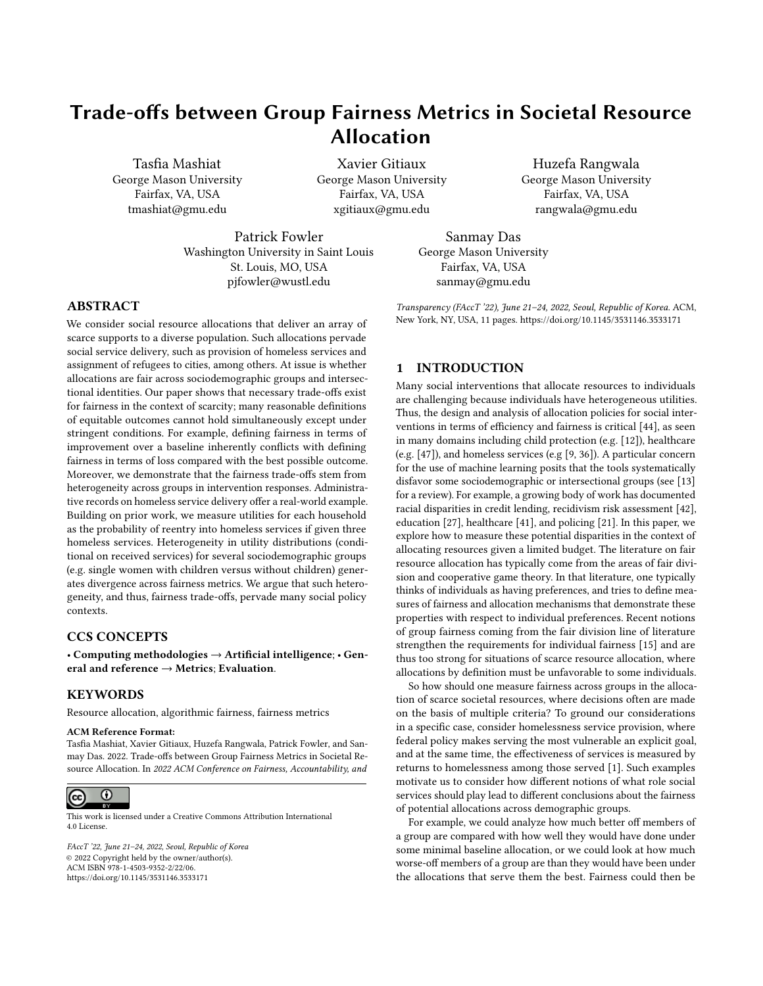(a) Distribution of U (b) Improvement vs. Regret (c) Gain vs. Shortfall

Figure 1: Simulation results when groups have di erent mean of utilities. Panel (a) shows the distribution of the maximum utility gains max U<sup>min</sup> for group 0 (blue), and group 1 (orange). Panel (b) shows the di erences in improvement and regret, Panel (c) shows the dierences in gain and shortfall. Error bars show the 95% condence interval of each fairness metric over 100 instantiations of the random allocation.

(a) Distribution of U (b) Improvement vs. Regret (Utilitarian) (c) Gain vs. Shortfall (Utilitarian)

Figure 2: Simulation results when groups have the same mean utilities for the services, but dierent variances. Panel (a) shows the distribution of the maximum utility gains max U<sup>min</sup> for group 0 (blue), and group 1 (orange). Panel (b) shows the dierences in improvement and regret, Panel (c) shows the dierences in gain and shortfall. Group 1 is favored strongly by all the fairness measures when allocations are utilitarian.

and di erences in gain as

 $G^1a^0 =$ (  $p_1 = + 11 p_1^{\circ}$ ) (  $p_0 = +11$   $p_0^{\circ} = \frac{1}{u}$ )  $=$  <sup>1</sup>P1 P0<sup>0</sup>  $\frac{1}{u}$  u  $\frac{1}{2}$  (11)

Therefore, improvement fairness and gain are equivalent to

 $p_1^{01}$  + <u>u</u>  $u^0$  = 0 and  $p_0$   $p_1^0$   $\frac{1}{u}$   $\frac{1}{u}$  = 0. If  $p_0$  ,  $p_1$ , improvement and gain fairness imply =  $\frac{u}{\overline{u}}$  $\frac{u}{\overline{u}}$  and =  $\overline{u}$ . The latter equality leads tœ:u =  $\overline{u}$  if u<sup>min</sup> =  $\overline{u}$  and the former equality leads to a:u = u if  $u^{\text{min}}$  = u.

Theorem 4 demonstrates a simple, yet general, setting where improvement fairness and gain fairness cannot be obtained simultaneously unless either the distribution of utilities are the same across groups  $p_0 = p_1$ ) or the policy does not create any utility improvement relative tdJ<sup>min</sup>.

# 4 SIMULATIONS WITH UTILITARIAN AND RANDOM ALLOCATIONS

Thus far, we have not needed to de ne an allocation policy explicitly, since we were focused on existence results. In this section, we consider two natural allocation policies utilitarian (maximizing the sum of utilities of all agents) and random. Both must respect capacity constraints. We simulate a simple environment with two groups and three services. In one setting, members of the two groups have dierent mean utilities from receiving the three services, while the variances are the same. In the second, members of the two groups have the same mean utilities from receiving the three services, but dierent variances. We are interested in understanding (1) how the dierent fairness measures behave in these two settings; (2) the role played by utilitarian objectives in the assignment problem.

In our setting, there are three  $k( = 1; 2; 3)$  services with xed capacities  $d_1 = c_2 = c_3 = 1000$  and 3000applicants divided into two groups of equal size group 0and group 1 We sample individual utilities for servicek from a normal distribution with mean  $_{sk}$  and standard deviation  $_{sk}$ , s = 0 for group 0ands = 1 for group 1.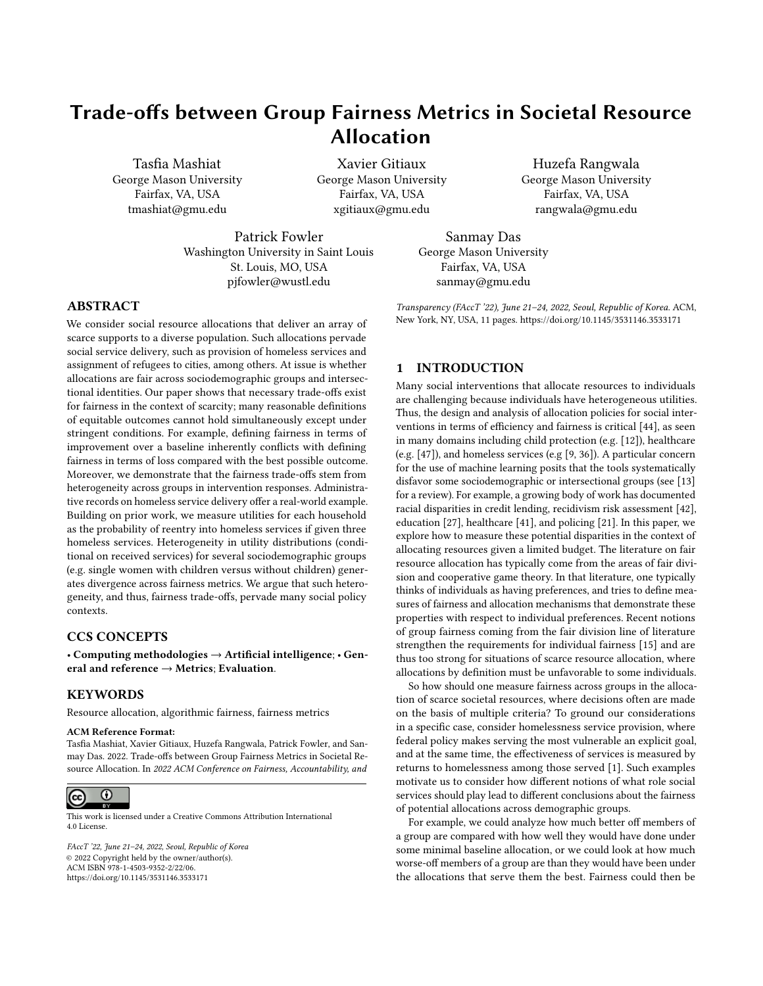Trade-os between Group Fairness Metrics in Societal Resource Allocation FACC 1999 FAccT '22, June 21 24, 2022, Seoul, Republic of Korea

### 4.1 Groups with Di erent Means

In this set of simulations, we study the behavior of fairness measures when individual utilities are sampled from group-dependent distributions. The groups have di erent sample meansut the same variances<sup>2</sup>. Forgroup 0 the means of the three services are  $_{01}$  = 0:2;  $_{02}$  = 0:3; and  $_{03}$  = 0:4. For group 1 the means are  $_{11}$  = 0:4;  $_{12}$  = 0:5; and  $_{13}$  = 0:63 The variances of the three services for both groups are equa $\beta_1 = \frac{2}{11} = 1$  10<sup>4</sup>,  $^{2}_{02} = \frac{2}{12} = 4$  10<sup>4</sup>, and,  $^{2}_{03} = \frac{2}{13} = 9$  10<sup>4</sup>. Individuals in group 1have on average higher utilities for all services.

As pointed out in section 3.3, we observe in Figure 1 that the dierence in U leads to a trade-o between the improvement and regret fairness metrics. Figure 1 shows that even for a random assignment, dierent metrics lead to conicting fairness assessment. The improvement fairness metric favors the group with higher mean U (group 1, and regret favors the groups with lower mean

U (group 0). To complicate fairness assessment further, switching from additive to multiplicative normalization reverses which group is favored.

Moreover, the utilitarian allocation appears to favoroup 1 according to improvement, regret and gain, but favors up 0in terms of shortfall. These results con rm in a simulated environment that utility normalization has profound implications on how we assess the fairness of an allocation.

## 4.2 Groups with Equal Means and Dierent Variances

In our second set of simulations, we study the e ects of groups having similar means but di erent variances, a situation that is commonly discussed, for instance in the context of gender dierences in student performance. If In this case, we hypothesize that the higher variance group is likely to be favored by utilitarian allocations. For both groups, the means for the three services are equal,  $_{01}$  =  $_{11}$  = 0:4,  $_{02}$  =  $_{12}$  = 0:5, and  $_{03}$  =  $_{13}$  = 0:6. Forgroup 0 the variances for the three interventions are set  $t\hat{g}_1 = 9$  10<sup>5</sup>,  $_{02}^{2}$  = 2 10<sup>3</sup>,  $_{03}^{2}$  = 1 10<sup>2</sup>, while for group 1 the variances for the three interventions are set to  $2_{11}^2 = 9$  10<sup>3</sup>,  $2_{12}^2 = 2$  10<sup>2</sup>,  $^{2}_{13}$  = 3 10<sup>2</sup>. Thus, group 0 has lower variance.

Our results in Figure 2 show that, as hypothesized, the group with larger variance (group 1) is indeed favored according to all fairness metrics. When maximizing the sum of utilities, it is optimal to assign their best services to individuals with utilities in the tail of the distribution. We nd that a larger fraction (65%) of individuals in group 1than in group 0(46%) receive the service that maximizes their utility.

# 5 FAIRNESS TRADE-OFFS IN HOMELESS SERVICE DELIVERY

Our theoretical analysis suggests that heterogeneity in service responses across groups drives fairness metrics in opposite directions. In this section, we investigate whether the fairness tradeos emerge in the capacitated assignment of homeless services across several sub-populations. We hypothesize that if sociodemographic group di erences exist in the utilities received from allocations (and in particular, between the dierences in the best versus worst allocations),

then we should see tradeo s between improvement versus regret fairness, shortfall versus gain, and improvement versus gain. We provide evidence for both the antecedent eterogeneity in responses across group and the consequent ( nerent fairness trade-os between group's

# 5.1 Background

Homelessness represents a socioeconomic and public health challenge for many communities in the United States. Approximately 1:5 million people experience homelessness for at least one night every year [23, 30]. Homelessness has short- and longer-term implications on health, employment, and crime4, 26, 34. Guided by federal policies, communities o er an array of services for households lacking stable and permanent living accommodations. We study three main homeless services: Transitional Housing (TH); Rapid Rehousing (RRH) and Emergency Shelter (ES). Transitional Housing provides accommodation for up to 24 months with comprehensive case management to address barriers toward stable housing, such as substance abuse and issues related to behavioral health. Rapid Rehousing o ers access to rental units for six months without intensive case management. Emergency Shelter provides a bed to sleep at night for no more than one or two months. On a daily basis, caseworkers assign homeless households seeking assistance to an available service, reserving the most intensive TH for those with greater needs.

# 5.2 Data

Our main dataset is based on estimated probabilities of households re-entering homelessness services within two years after initial receipt of services. This data, collected  $b\frac{3}{6}$  is publicly available. The estimates are based on applying a machine learning model (BART [31]) to administrative records that tracked service provision in a metropolitan area from 2007 through 2014. Service providers collected demographic and household characteristics upon entry into the system, and data capture the intervention assigned and whether households subsequently requested additional assistance [36]. The model estimates counterfactual probabiliting of a household to re-enter the homeless system within 2 years given the assignment of a speci c servide wherek  $2$  fTH; RRHESg. The original data also tracks responses to homelessness prevention time-limited monetary assistance that di ers from the other three interventions that allocate actual bed space. Given that the constraints on homelessness prevention are di erent, we focus here only on households that needed actual bed space (and were therefore not eligible to receive prevention services). Therefore, our nal data contains3; 375households and they received either TH, RRH, or ES.

We compute the utility of service to individuali as  $u_{ik} = 1$   $p_{ik}$ . We obtained from Kube et al additional sociodemographic characteristics for each household, including race, gender, age, disability status, presence of spouse and/or children, and household size. We note that our analysis takes the counterfactual probability estimates as given. These estimates are based on an ignorability assumption implicit in using BART in this manner [31, 36].

<sup>2</sup>https://github.com/amandakube/Allocating-Homelessness-Interventions--- Counterfactual-Predictions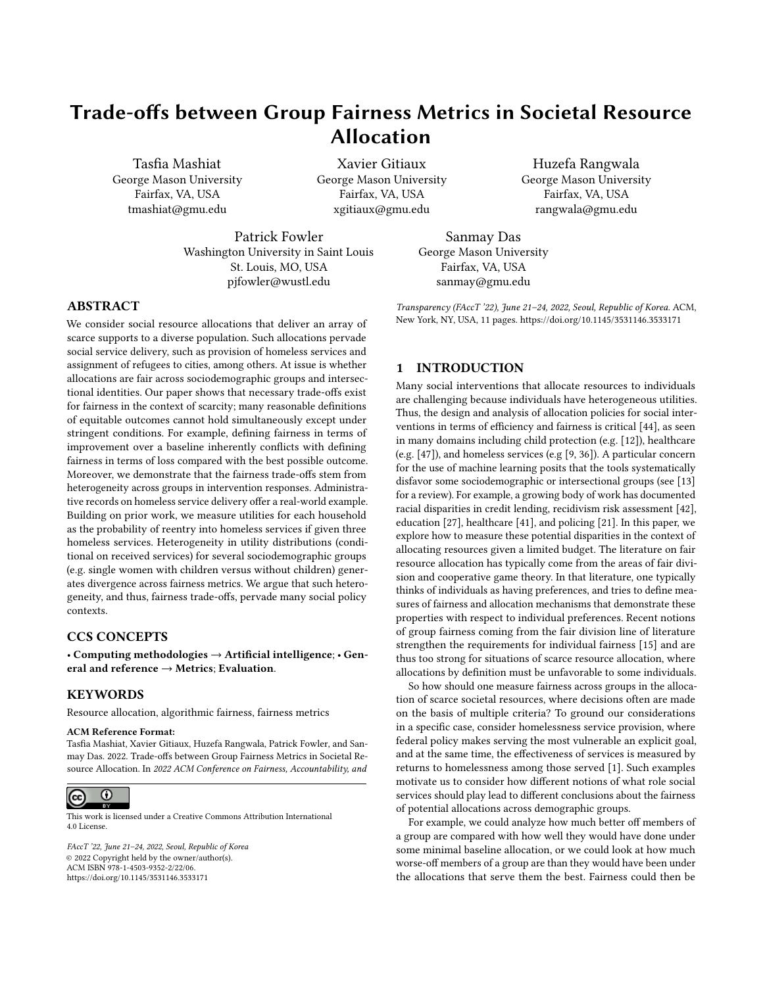Figure 3: Distribution of the maximum utility gain U that individuals can derive from the homeless system across various demographic groups. We obtain the probability density function of max Umin via Gaussian kernel density estimation with a bandwidth of 0:2. Di erences in probability density functions between households with and without disability (Panel a)) and with and without spouse (Panel b)) illustrate heterogeneous responses to housing assistance.

Figure 4: Same as Figure 3 but for intersection groups single female with and without children (Panel c)); youth under 25 with and without disability (Panel d)); and, youth under 25 with and without children (Panel e)).

Figure 5: Same as Figure 3 but for groups dened by perceived racial background.

tional identities expected to exhibit substantial heterogeneity in TH [16, 22, 43]. Third, we examine the intersection between gender are considered more vulnerable, and prior research shows that more out children do better in TH compared with single female-headed vulnerable households do best with more intensive services [0]. Therefore, we expect households with disabilities to benet more from TH and less from ES. Second, families with children under the years to compare disability status (versus no disability) and family age of18experience homelessness due to socioeconomic reasons status (children versus no children), hypothesizing that those with rather than disability and vulnerability, and thus, we anticipate

We de ne a series of sociodemographic groups and intersec- families will respond better to rapid rehousing than more intensive responses to homeless services. First, households with disabilities and family status, assuming that single female households withfamilies with children, who are more likely to bene t from RRH. Fourth, we look within households headed by youth age to 24 disabilities benet more from TH and families with children from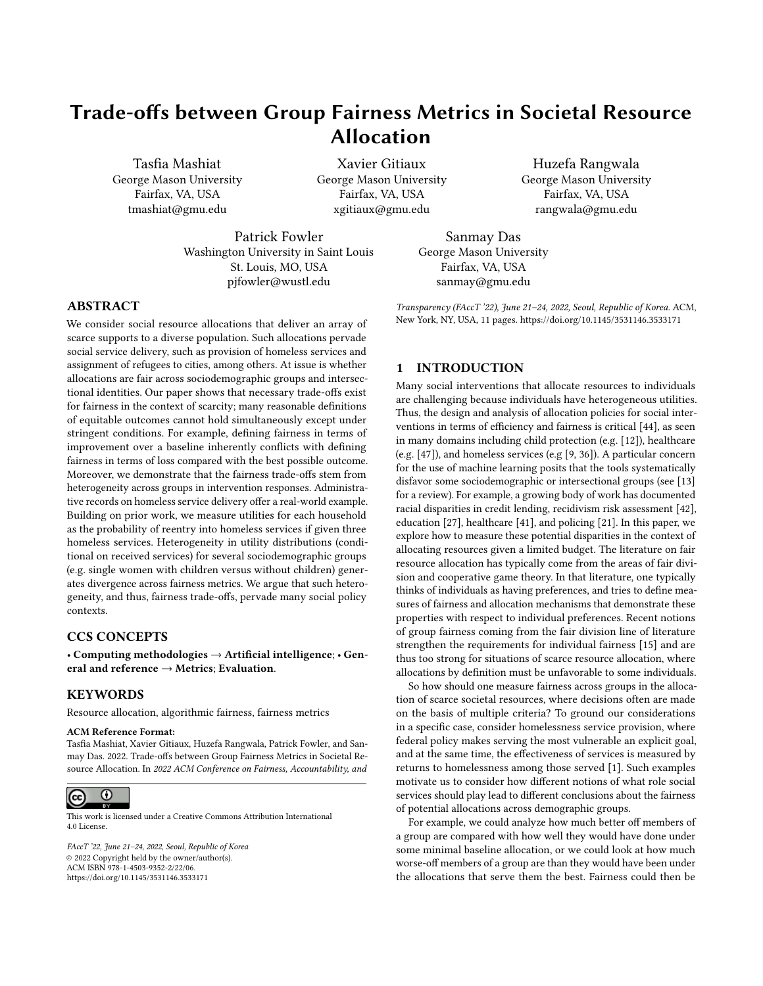Table 1: Distribution of services that deliver to each household the highest utility across demographic groups. This shows the fraction of households in each demographic group for which ES, TH or RRH leads to the lowest probability to re-enter the homeless system.

|                                | TН           | <b>RRH</b>   | ES           | Size         |                                 | тн          | <b>RRH</b>   | ES           | Size       |
|--------------------------------|--------------|--------------|--------------|--------------|---------------------------------|-------------|--------------|--------------|------------|
| All                            | 0.68         | 0.27         | 0.05         | 3375         |                                 |             |              |              |            |
| With disability                | 0.73         | 0.23         | 0.03         | 601          | Without disability              | 0.66        | 0.28         | 0.06         | 2699       |
| Without children               | 0.85         | 0.14         | 0.01         | 2533         | With children                   | 0.16        | 0.67         | 0.17         | 842        |
| Single female with children    | 0.15         | 0.7          | 0.15         | 761          | Single female without children  | 0.7         | 0.3          | 0.01         | 885        |
| Less than 25 with disability   | 0.62         | 0.37         | 0.01         | 78           | Less than 25 without disability | 0.47        | 0.49         | 0.05         | 501        |
| Less than 25 without children  | 0.83         | 0.17         | 0.0          | 275          | Less than 25 with children      | 0.19        | 0.73         | 0.08         | 308        |
| Female - Black<br>Male - Black | 0.46<br>0.95 | 0.46<br>0.02 | 0.08<br>0.03 | 1414<br>1254 | Female - White<br>Male - White  | 0.34<br>0.8 | 0.62<br>0.14 | 0.04<br>0.06 | 241<br>406 |

RRH [39]. Lastly, given the over-representation in homelessness of minorities and especially Black households, we test how race race and shows substantial di erences in the distribution db a ects homeless service utilities [30].

White people experiencing disabilities, versus Black people expe- services. Prior researcbりg suggests that social discrimination and riencing greater housing discrimination 33. Moreover, race intersects with gender (males vs females) and family status (with children versus without children) in ways that could drive variation in homeless service outcomes.

### 5.3 Heterogeneity across Demographic Groups

In this section, we document heterogeneity in the distributions of utility across various groups. For each household, we compute the dierence U between its best and worst utility. Figure 3 shows heterogeneity in response to homeless services across households with disability (73%prefer TH), in line with prior ndings that most with and without reported disabilities; with and without children. The distribution of U for households with a disability skews to the right (panel a); assigning the best service to a disabled client has a larger impact in terms of re-entry probability than assigning a client without a disability to their most bene cial service. The di erence in distribution means is statistically signi cant with a t-statistic of 8.5 and p-value in nitesimally small. This nding aligns with prior research that shows vulnerable households do best with more intensive services [40]. The distribution of U for households without children skews strongly to the right compared with households with children (panel b). The mean  $\mathbf{d} \mathbf{f}$ for households without children is 0.07, while it is only 0.04 for household with children. The di erence is statistically signi cant with a t-statistic of 29.0 and a p-value in nitesimally small. This result illustrates how families with children di er in their responses to housing assistance compared to homeless individuals.

Figure 4 looks at intersectional sociodemographic groups. Panel c shows that the impact of dierent homeless services for a single female depends strongly on whether there are children in the household. Similarly, youth with and without disability respond dierently to homeless services (panel d). For both intersections, the di erence in means is statistically signi cant (t-statistic of 25.7 for single female vs single mother and 5.1 for youth with vs without disability).

Prior research suggests the causes of homelessness vary fortions may on average bene t more from more intensive homeless Figure 5 explores di erential responses to housing assistance by between Black and White males (Panel g). Black homeless populasocio-economic disadvantage could increase the risk for homelessness among populations with perceived Black background and that housing assistance could mitigate some of these vulnerabilities.

> Results from Figures 3, 4 and 5 suggest that heterogeneity in utility is pervasive. Table 1 explains some of this heterogeneity by identifying which of the three services (TH, RRH and ES) bene ts the most households within each group. For the homeless population studied in this paper, TH is the most preferred service for 68% of the population, followed by RRH20% and ES 5%. This preference for more intensive care is exacerbated for households vulnerable populations bene t from more integrated care. The preferences of households with a disability toward TH contrasts with the preferences of families with children toward RRGT% of households with children benet most from RRH, while TH is best for only 16%of families. This holds true for all intersectional groups that include children and could explain di erences between males and females, since females are more likely to live with children. Regardless of gender, TH is likely most benecial for the Black homeless population: TH is the most bene cial service #6%of Black females but only for 34% of White females; and, for 95% of Black males but only foß0% of White males.

# 5.4 Fairness Trade-Os in the Observed Allocation of Homeless Services

Our theory suggests that heterogeneity in the distribution of the maximum gain U would drive fairness metrics in opposite directions: (i) there exist assignments of homeless services with con icting fairness assessment depending on choosing improvement, regret, gain or shortfall as the fairness metric (Theorem 2); (ii) assignments that satisfy improvement fairness could violate regret fairness and vice-versa (Theorem 1). Given the substantial heterogeneity among the sociodemographic and intersectional groups